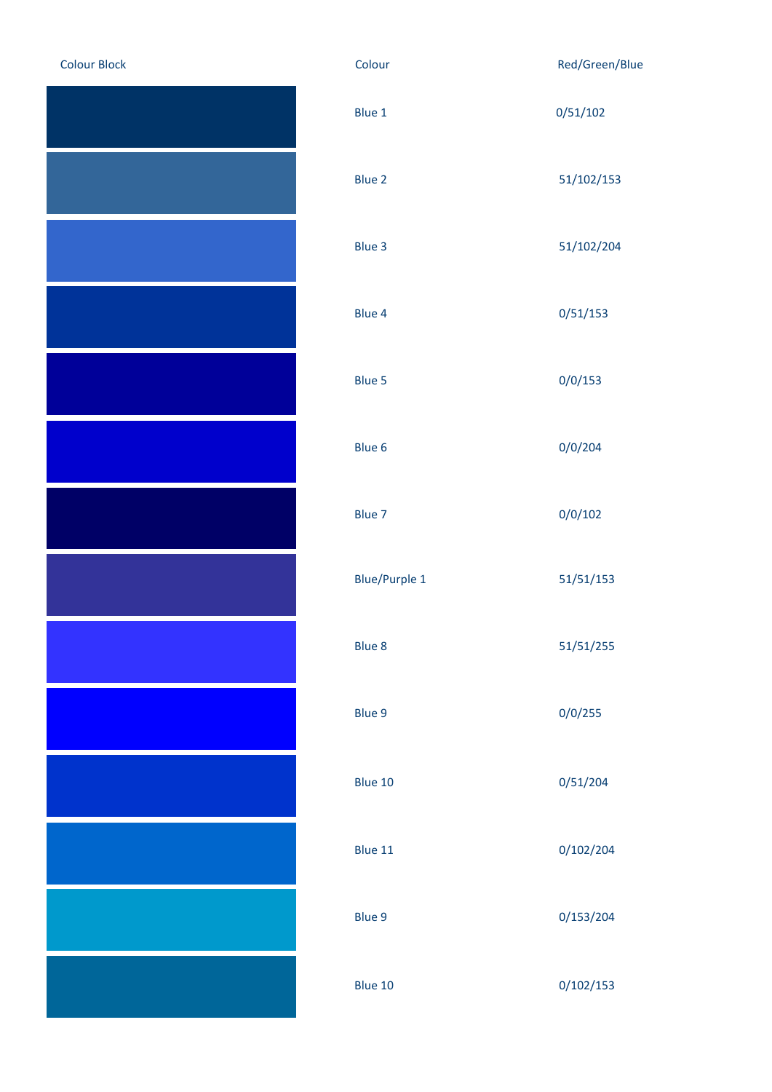| <b>Colour Block</b> |
|---------------------|
|                     |
|                     |
|                     |
|                     |
|                     |
|                     |
|                     |
|                     |
|                     |
|                     |
|                     |
|                     |
|                     |
|                     |
|                     |
|                     |
|                     |
|                     |

| <b>Colour Block</b> | Colour               | Red/Green/Blue |
|---------------------|----------------------|----------------|
|                     | Blue 1               | 0/51/102       |
|                     | Blue 2               | 51/102/153     |
|                     | Blue 3               | 51/102/204     |
|                     | Blue 4               | 0/51/153       |
|                     | Blue 5               | 0/0/153        |
|                     | Blue 6               | 0/0/204        |
|                     | Blue 7               | 0/0/102        |
|                     | <b>Blue/Purple 1</b> | 51/51/153      |
|                     | Blue 8               | 51/51/255      |
|                     | Blue 9               | 0/0/255        |
|                     | Blue 10              | 0/51/204       |
|                     | Blue 11              | 0/102/204      |
|                     | Blue 9               | 0/153/204      |
|                     | Blue 10              | 0/102/153      |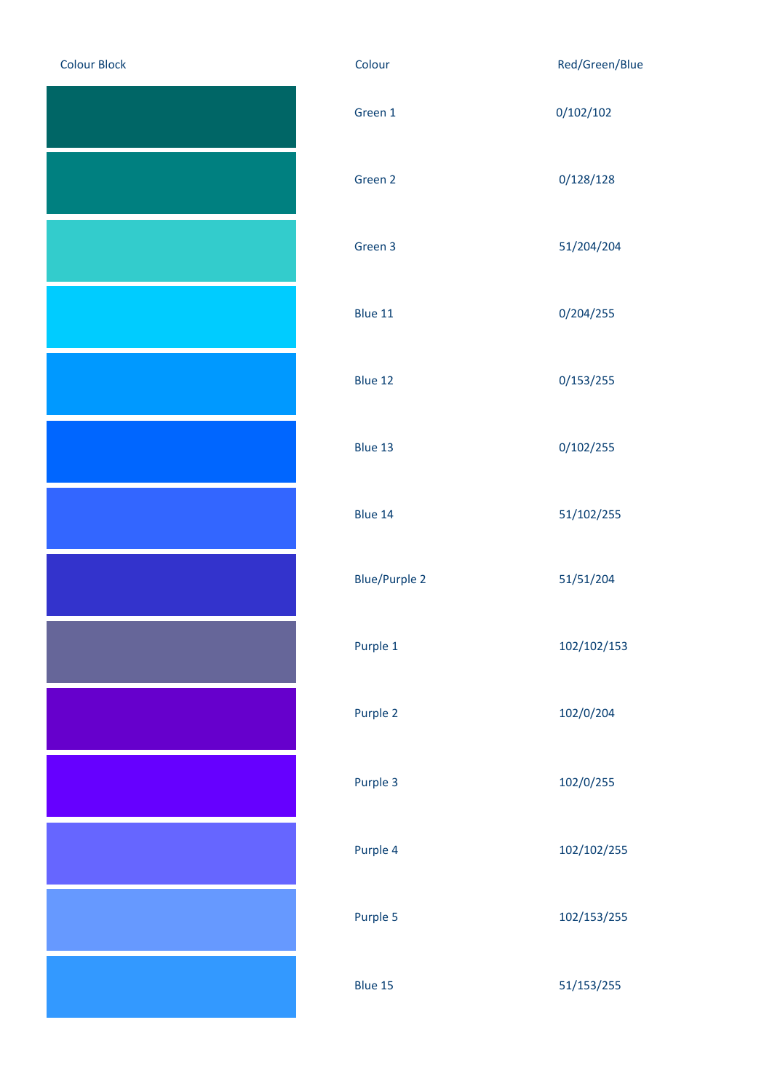| <b>Colour Block</b> |
|---------------------|
|                     |
|                     |
|                     |
|                     |
|                     |
|                     |
|                     |
|                     |
|                     |
|                     |
|                     |
|                     |
|                     |
|                     |
|                     |
|                     |

| <b>Colour Block</b> | Colour               | Red/Green/Blue |
|---------------------|----------------------|----------------|
|                     | Green 1              | 0/102/102      |
|                     | Green 2              | 0/128/128      |
|                     | Green 3              | 51/204/204     |
|                     | Blue 11              | 0/204/255      |
|                     | Blue 12              | 0/153/255      |
|                     | Blue 13              | 0/102/255      |
|                     | Blue 14              | 51/102/255     |
|                     | <b>Blue/Purple 2</b> | 51/51/204      |
|                     | Purple 1             | 102/102/153    |
|                     | Purple 2             | 102/0/204      |
|                     | Purple 3             | 102/0/255      |
|                     | Purple 4             | 102/102/255    |
|                     | Purple 5             | 102/153/255    |
|                     | Blue 15              | 51/153/255     |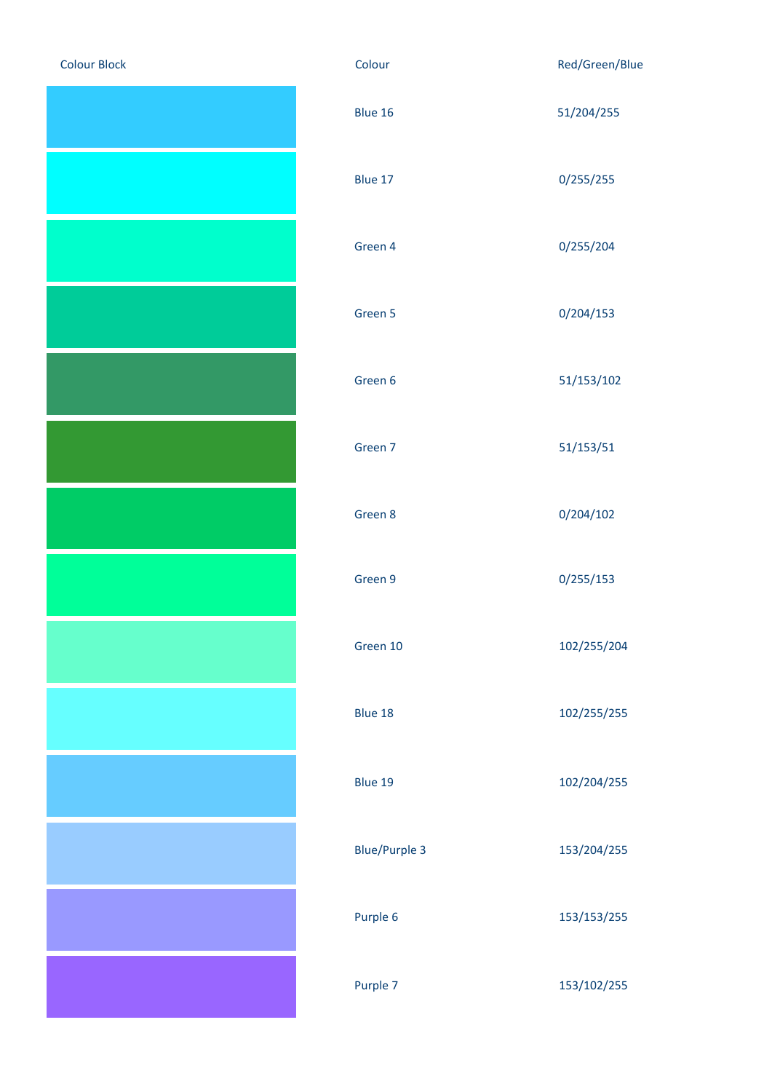| <b>Colour Block</b> |
|---------------------|
|                     |
|                     |
|                     |
|                     |
|                     |
|                     |
|                     |
|                     |
|                     |
|                     |
|                     |
|                     |
|                     |
|                     |
|                     |
|                     |
|                     |
|                     |
|                     |
|                     |

| <b>Colour Block</b> | Colour               | Red/Green/Blue |
|---------------------|----------------------|----------------|
|                     | Blue 16              | 51/204/255     |
|                     | Blue 17              | 0/255/255      |
|                     | Green 4              | 0/255/204      |
|                     | Green 5              | 0/204/153      |
|                     | Green 6              | 51/153/102     |
|                     | Green 7              | 51/153/51      |
|                     | Green 8              | 0/204/102      |
|                     | Green 9              | 0/255/153      |
|                     | Green 10             | 102/255/204    |
|                     | Blue 18              | 102/255/255    |
|                     | Blue 19              | 102/204/255    |
|                     | <b>Blue/Purple 3</b> | 153/204/255    |
|                     | Purple 6             | 153/153/255    |
|                     | Purple 7             | 153/102/255    |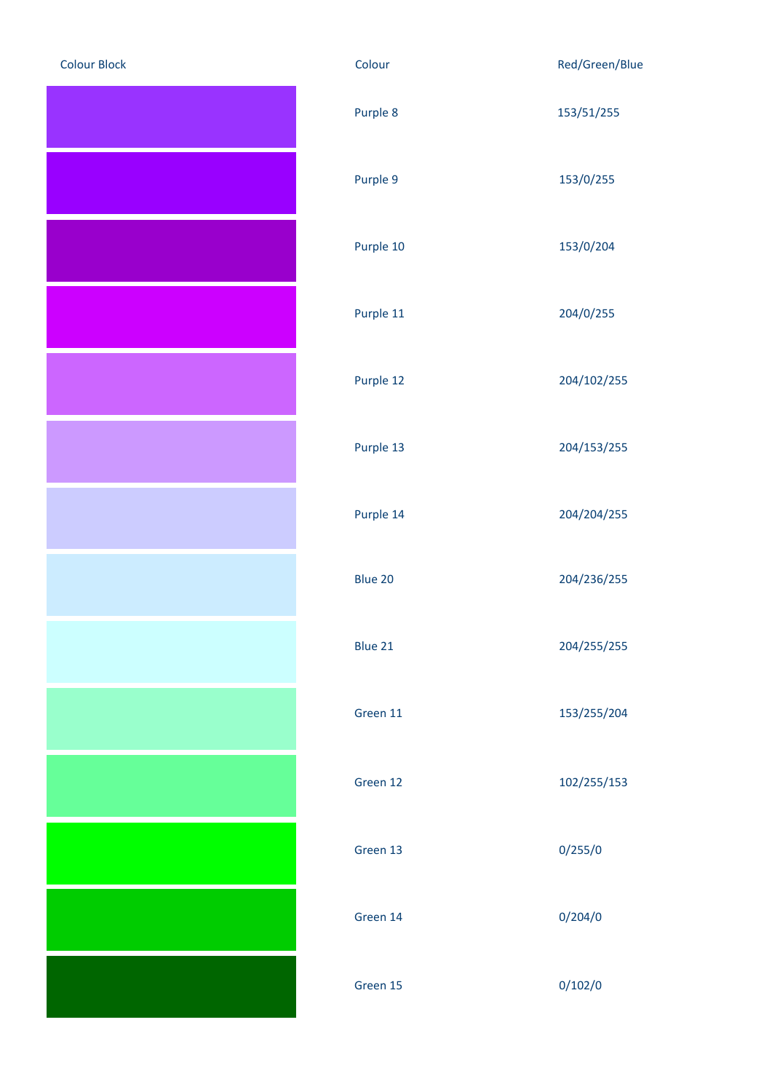| <b>Colour Block</b> |
|---------------------|
|                     |
|                     |
|                     |
|                     |
|                     |
|                     |
|                     |
|                     |
|                     |
|                     |
|                     |
|                     |
|                     |
|                     |
|                     |
|                     |
|                     |
|                     |
|                     |
|                     |
|                     |
|                     |
|                     |
|                     |
|                     |
|                     |
|                     |
|                     |
|                     |
|                     |
|                     |
|                     |
|                     |
|                     |
|                     |
|                     |
|                     |
|                     |
|                     |

| <b>Colour Block</b> | Colour    | Red/Green/Blue |
|---------------------|-----------|----------------|
|                     | Purple 8  | 153/51/255     |
|                     | Purple 9  | 153/0/255      |
|                     | Purple 10 | 153/0/204      |
|                     | Purple 11 | 204/0/255      |
|                     | Purple 12 | 204/102/255    |
|                     | Purple 13 | 204/153/255    |
|                     | Purple 14 | 204/204/255    |
|                     | Blue 20   | 204/236/255    |
|                     | Blue 21   | 204/255/255    |
|                     | Green 11  | 153/255/204    |
|                     | Green 12  | 102/255/153    |
|                     | Green 13  | 0/255/0        |
|                     | Green 14  | 0/204/0        |
|                     | Green 15  | 0/102/0        |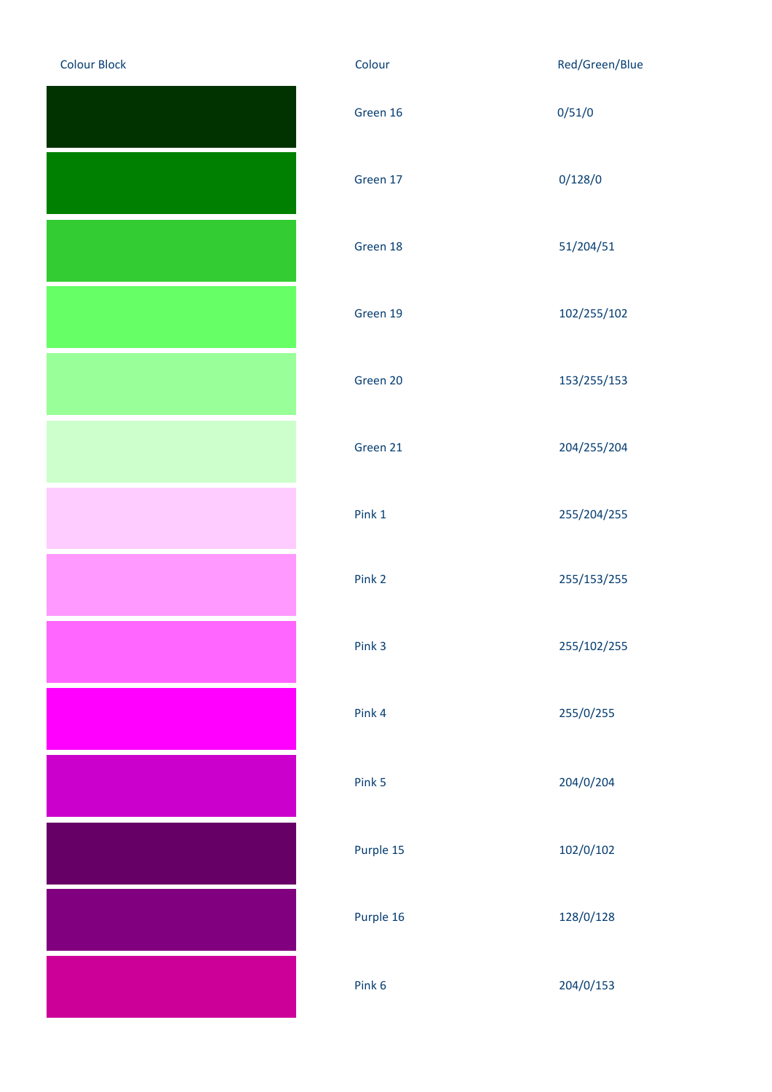| <b>Colour Block</b> |
|---------------------|
|                     |
|                     |
|                     |
|                     |
|                     |
|                     |
|                     |
|                     |
|                     |
|                     |
|                     |
|                     |
|                     |
|                     |
|                     |
|                     |
|                     |
|                     |
|                     |
|                     |
|                     |
|                     |
|                     |
|                     |
|                     |
|                     |
|                     |
|                     |
|                     |
|                     |
|                     |
|                     |
|                     |
|                     |
|                     |
|                     |
|                     |
|                     |

| <b>Colour Block</b> | Colour    | Red/Green/Blue |
|---------------------|-----------|----------------|
|                     | Green 16  | 0/51/0         |
|                     | Green 17  | 0/128/0        |
|                     | Green 18  | 51/204/51      |
|                     | Green 19  | 102/255/102    |
|                     | Green 20  | 153/255/153    |
|                     | Green 21  | 204/255/204    |
|                     | Pink 1    | 255/204/255    |
|                     | Pink 2    | 255/153/255    |
|                     | Pink 3    | 255/102/255    |
|                     | Pink 4    | 255/0/255      |
|                     | Pink 5    | 204/0/204      |
|                     | Purple 15 | 102/0/102      |
|                     | Purple 16 | 128/0/128      |
|                     | Pink 6    | 204/0/153      |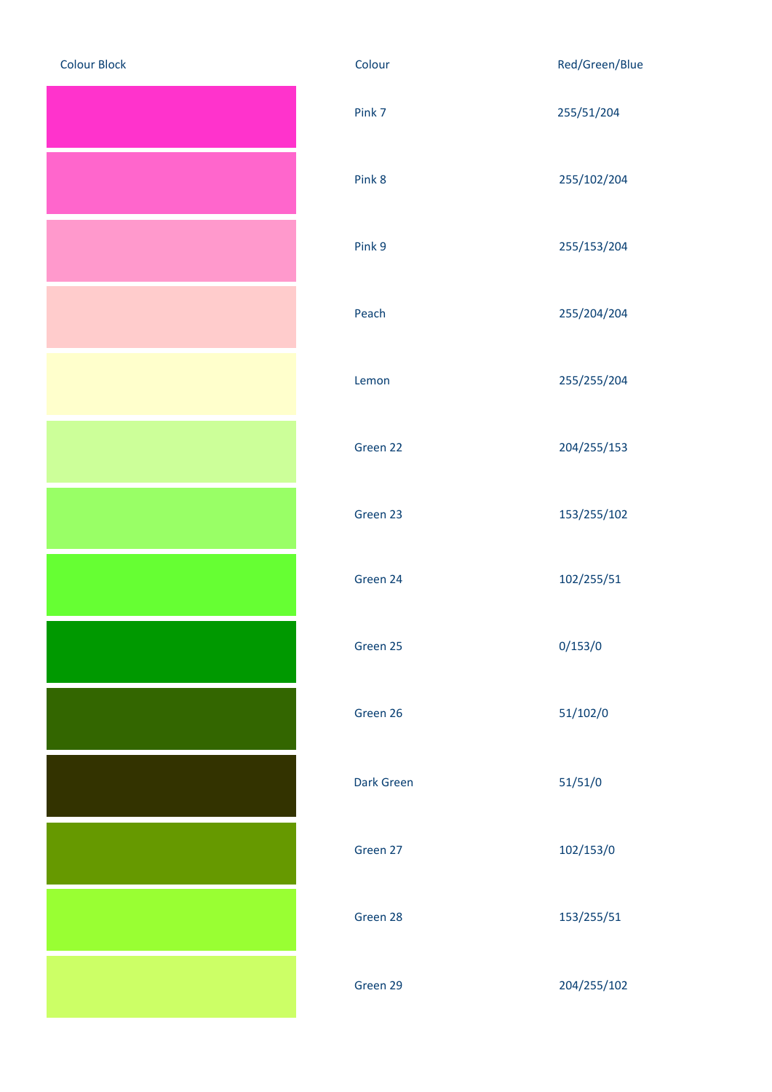| <b>Colour Block</b> |
|---------------------|
|                     |
|                     |
|                     |
|                     |
|                     |
|                     |
|                     |
|                     |
|                     |
|                     |
|                     |
|                     |
|                     |
|                     |
|                     |
|                     |
|                     |
|                     |
|                     |
|                     |
|                     |
|                     |
|                     |
|                     |
|                     |
|                     |
|                     |
|                     |
|                     |
|                     |
|                     |

| Colour            | Red/Green/Blue |
|-------------------|----------------|
| Pink 7            | 255/51/204     |
| Pink 8            | 255/102/204    |
| Pink 9            | 255/153/204    |
| Peach             | 255/204/204    |
| Lemon             | 255/255/204    |
| Green 22          | 204/255/153    |
| Green 23          | 153/255/102    |
| Green 24          | 102/255/51     |
| Green 25          | 0/153/0        |
| Green 26          | 51/102/0       |
| <b>Dark Green</b> | 51/51/0        |
| Green 27          | 102/153/0      |
| Green 28          | 153/255/51     |
| Green 29          | 204/255/102    |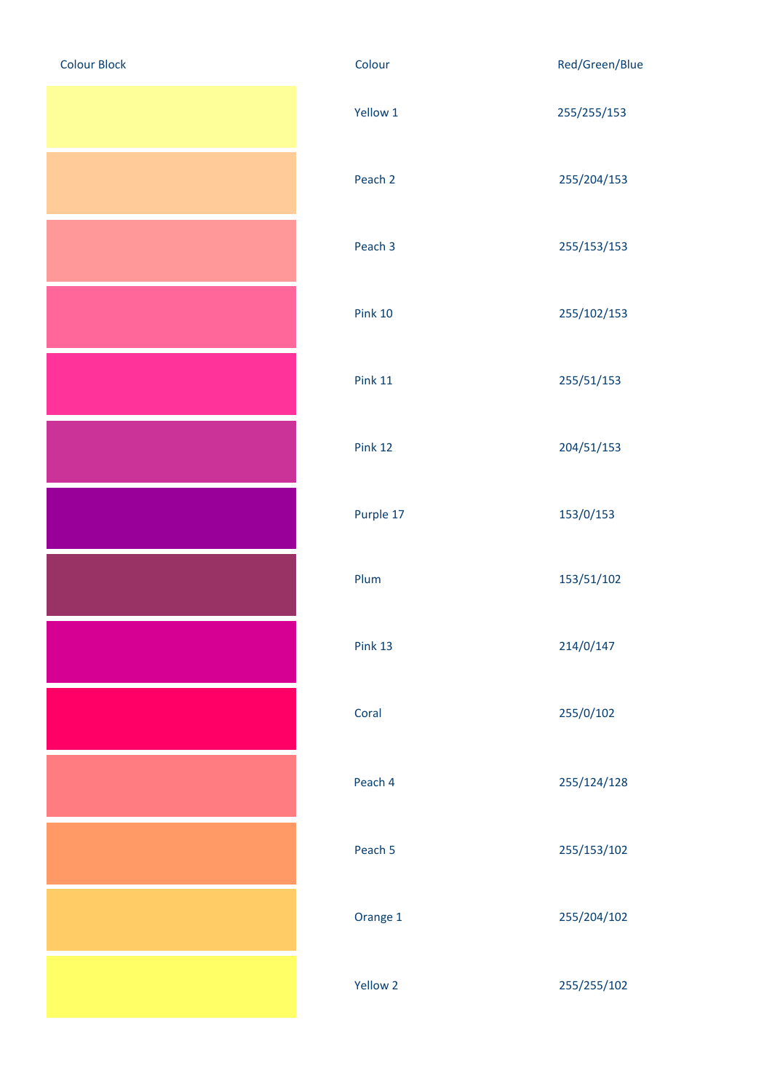| <b>Colour Block</b> |
|---------------------|
|                     |
|                     |
|                     |
|                     |
|                     |
|                     |
|                     |
|                     |
|                     |
|                     |
|                     |
|                     |
|                     |
|                     |
|                     |
|                     |
|                     |
|                     |
|                     |
|                     |
|                     |
|                     |
|                     |
|                     |
|                     |
|                     |
|                     |
|                     |
|                     |

| <b>Colour Block</b> | Colour         | Red/Green/Blue |
|---------------------|----------------|----------------|
|                     | Yellow 1       | 255/255/153    |
|                     | Peach 2        | 255/204/153    |
|                     | Peach 3        | 255/153/153    |
|                     | <b>Pink 10</b> | 255/102/153    |
|                     | <b>Pink 11</b> | 255/51/153     |
|                     | Pink 12        | 204/51/153     |
|                     | Purple 17      | 153/0/153      |
|                     | Plum           | 153/51/102     |
|                     | Pink 13        | 214/0/147      |
|                     | Coral          | 255/0/102      |
|                     | Peach 4        | 255/124/128    |
|                     | Peach 5        | 255/153/102    |
|                     | Orange 1       | 255/204/102    |
|                     | Yellow 2       | 255/255/102    |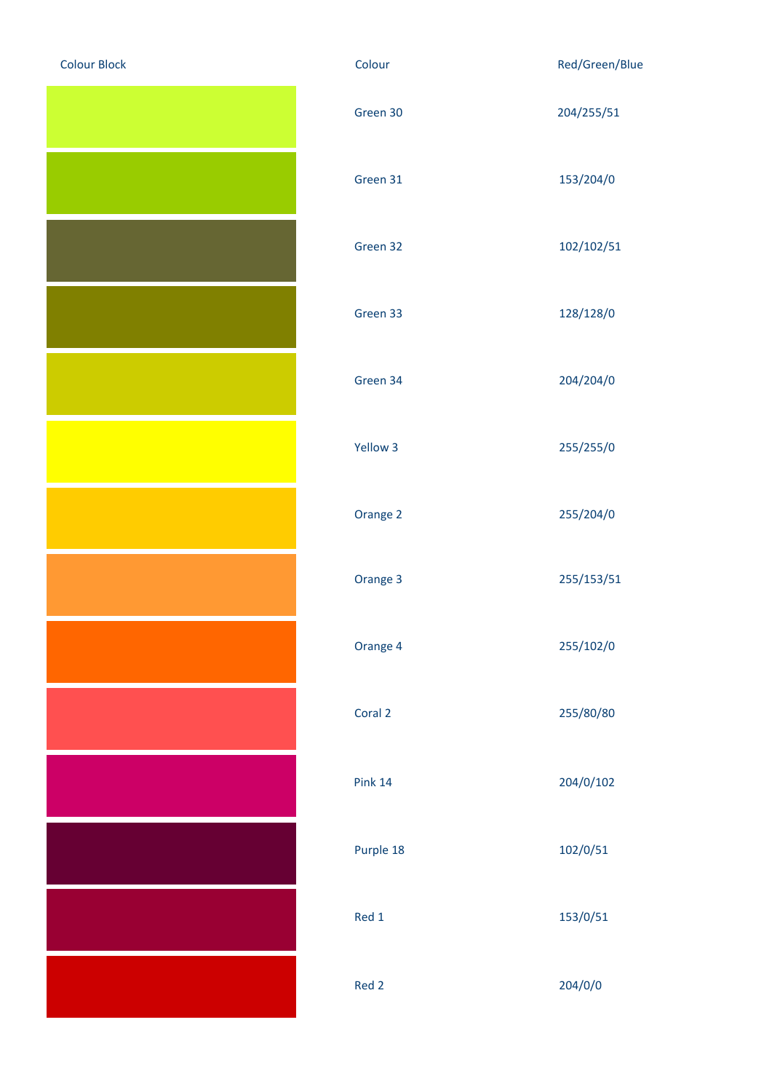| <b>Colour Block</b> |
|---------------------|
|                     |
|                     |
|                     |
|                     |
|                     |
|                     |
|                     |
|                     |
|                     |
|                     |
|                     |
|                     |
|                     |
|                     |
|                     |
|                     |
|                     |
|                     |
|                     |
|                     |
|                     |
|                     |
|                     |
|                     |
|                     |
|                     |

| <b>Colour Block</b> | Colour         | Red/Green/Blue |
|---------------------|----------------|----------------|
|                     | Green 30       | 204/255/51     |
|                     | Green 31       | 153/204/0      |
|                     | Green 32       | 102/102/51     |
|                     | Green 33       | 128/128/0      |
|                     | Green 34       | 204/204/0      |
|                     | Yellow 3       | 255/255/0      |
|                     | Orange 2       | 255/204/0      |
|                     | Orange 3       | 255/153/51     |
|                     | Orange 4       | 255/102/0      |
|                     | Coral 2        | 255/80/80      |
|                     | <b>Pink 14</b> | 204/0/102      |
|                     | Purple 18      | 102/0/51       |
|                     | Red 1          | 153/0/51       |
|                     | Red 2          | 204/0/0        |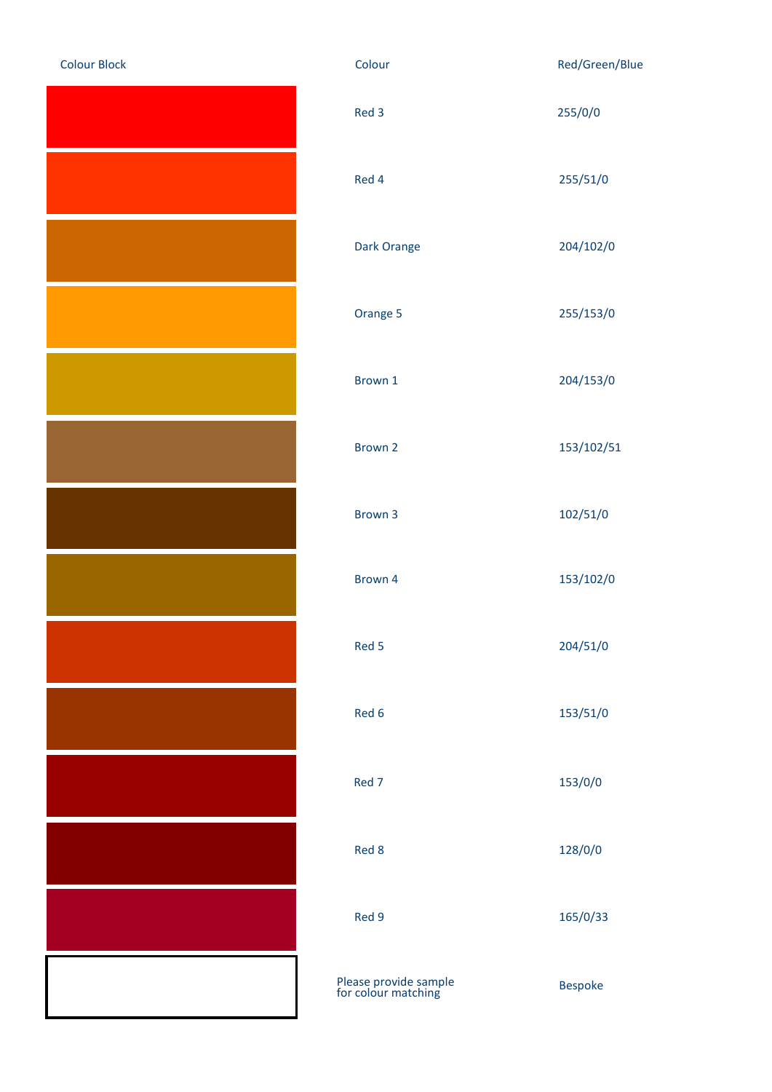| <b>Colour Block</b> |
|---------------------|
|                     |
|                     |
|                     |
|                     |
|                     |
|                     |
|                     |
|                     |
|                     |
|                     |
|                     |
|                     |
|                     |
|                     |

| <b>Colour Block</b> | Colour                                       | Red/Green/Blue |
|---------------------|----------------------------------------------|----------------|
|                     | Red 3                                        | 255/0/0        |
|                     | Red 4                                        | 255/51/0       |
|                     | Dark Orange                                  | 204/102/0      |
|                     | Orange 5                                     | 255/153/0      |
|                     | Brown 1                                      | 204/153/0      |
|                     | Brown 2                                      | 153/102/51     |
|                     | Brown 3                                      | 102/51/0       |
|                     | Brown 4                                      | 153/102/0      |
|                     | Red 5                                        | 204/51/0       |
|                     | Red 6                                        | 153/51/0       |
|                     | Red 7                                        | 153/0/0        |
|                     | Red 8                                        | 128/0/0        |
|                     | Red 9                                        | 165/0/33       |
|                     | Please provide sample<br>for colour matching | <b>Bespoke</b> |